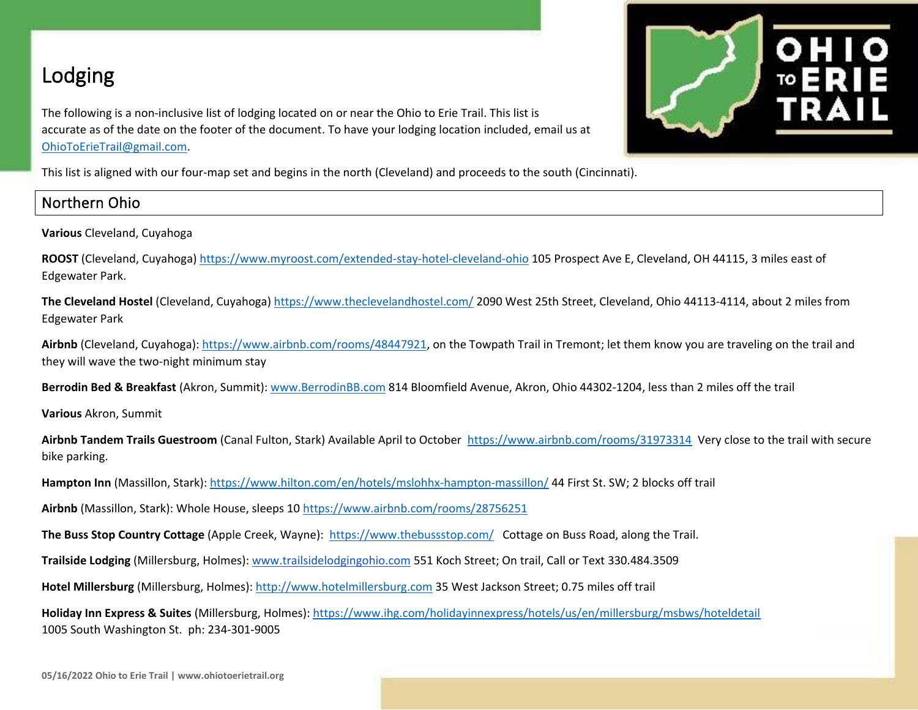# Lodging

The following is a non-inclusive list of lodging located on or near the Ohio to Erie Trail. This list is accurate as of the date on the footer of the document. To have your lodging location included, email us at [OhioToErieTrail@gmail.com.](mailto:OhioToErieTrail@gmail.com)



This list is aligned with our four-map set and begins in the north (Cleveland) and proceeds to the south (Cincinnati).

### Northern Ohio

**Various** Cleveland, Cuyahoga

**ROOST** (Cleveland, Cuyahoga)<https://www.myroost.com/extended-stay-hotel-cleveland-ohio> 105 Prospect Ave E, Cleveland, OH 44115, 3 miles east of Edgewater Park.

**The Cleveland Hostel** (Cleveland, Cuyahoga) <https://www.theclevelandhostel.com/> 2090 West 25th Street, Cleveland, Ohio 44113-4114, about 2 miles from Edgewater Park

**Airbnb** (Cleveland, Cuyahoga)[: https://www.airbnb.com/rooms/48447921,](https://www.airbnb.com/rooms/48447921) on the Towpath Trail in Tremont; let them know you are traveling on the trail and they will wave the two-night minimum stay

**Berrodin Bed & Breakfast** (Akron, Summit): [www.BerrodinBB.com](http://www.berrodinbb.com/) 814 Bloomfield Avenue, Akron, Ohio 44302-1204, less than 2 miles off the trail

**Various** Akron, Summit

**Airbnb Tandem Trails Guestroom** (Canal Fulton, Stark) Available April to October <https://www.airbnb.com/rooms/31973314>Very close to the trail with secure bike parking.

**Hampton Inn** (Massillon, Stark): <https://www.hilton.com/en/hotels/mslohhx-hampton-massillon/> 44 First St. SW; 2 blocks off trail

**Airbnb** (Massillon, Stark): Whole House, sleeps 10<https://www.airbnb.com/rooms/28756251>

**The Buss Stop Country Cottage** (Apple Creek, Wayne): <https://www.thebussstop.com/> Cottage on Buss Road, along the Trail.

**Trailside Lodging** (Millersburg, Holmes)[: www.trailsidelodgingohio.com](http://www.trailsidelodgingohio.com/) 551 Koch Street; On trail, Call or Text 330.484.3509

**Hotel Millersburg** (Millersburg, Holmes)[: http://www.hotelmillersburg.com](http://www.hotelmillersburg.com/) 35 West Jackson Street; 0.75 miles off trail

**Holiday Inn Express & Suites** (Millersburg, Holmes):<https://www.ihg.com/holidayinnexpress/hotels/us/en/millersburg/msbws/hoteldetail> 1005 South Washington St. ph: 234-301-9005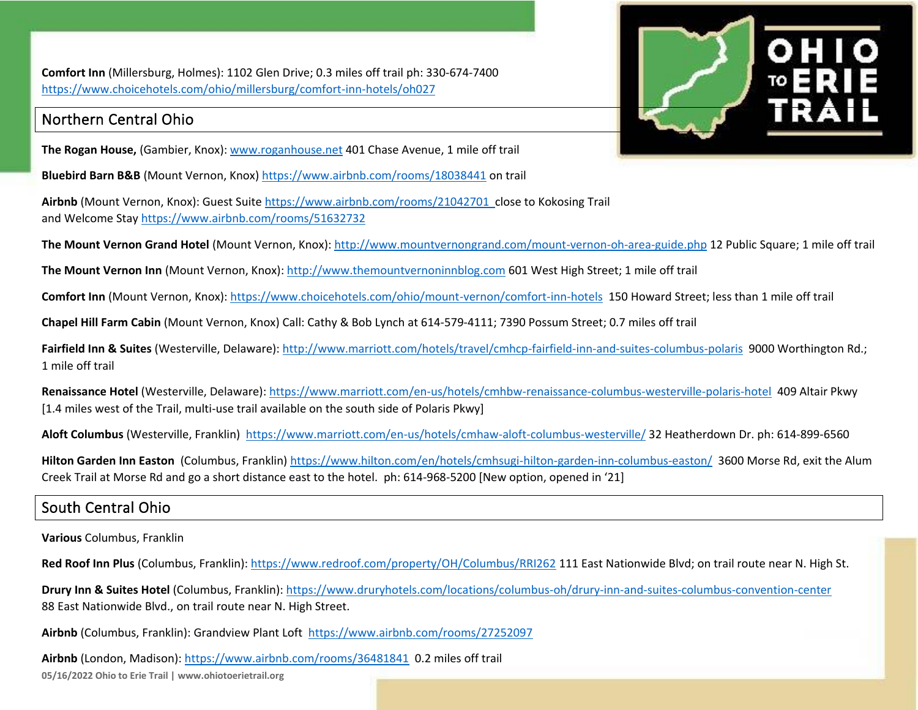**Comfort Inn** (Millersburg, Holmes): 1102 Glen Drive; 0.3 miles off trail ph: 330-674-7400 <https://www.choicehotels.com/ohio/millersburg/comfort-inn-hotels/oh027>

### Northern Central Ohio

**The Rogan House,** (Gambier, Knox)[: www.roganhouse.net](http://www.roganhouse.net/) 401 Chase Avenue, 1 mile off trail

**Bluebird Barn B&B** (Mount Vernon, Knox)<https://www.airbnb.com/rooms/18038441> on trail

**Airbnb** (Mount Vernon, Knox): Guest Suite<https://www.airbnb.com/rooms/21042701> close to Kokosing Trail and Welcome Stay<https://www.airbnb.com/rooms/51632732>



**The Mount Vernon Grand Hotel** (Mount Vernon, Knox):<http://www.mountvernongrand.com/mount-vernon-oh-area-guide.php> 12 Public Square; 1 mile off trail

**The Mount Vernon Inn** (Mount Vernon, Knox)[: http://www.themountvernoninnblog.com](http://www.themountvernoninnblog.com/) 601 West High Street; 1 mile off trail

**Comfort Inn** (Mount Vernon, Knox)[: https://www.choicehotels.com/ohio/mount-vernon/comfort-inn-hotels](https://www.choicehotels.com/ohio/mount-vernon/comfort-inn-hotels) 150 Howard Street; less than 1 mile off trail

**Chapel Hill Farm Cabin** (Mount Vernon, Knox) Call: Cathy & Bob Lynch at 614-579-4111; 7390 Possum Street; 0.7 miles off trail

**Fairfield Inn & Suites** (Westerville, Delaware):<http://www.marriott.com/hotels/travel/cmhcp-fairfield-inn-and-suites-columbus-polaris> 9000 Worthington Rd.; 1 mile off trail

**Renaissance Hotel** (Westerville, Delaware): <https://www.marriott.com/en-us/hotels/cmhbw-renaissance-columbus-westerville-polaris-hotel>409 Altair Pkwy [1.4 miles west of the Trail, multi-use trail available on the south side of Polaris Pkwy]

**Aloft Columbus** (Westerville, Franklin) <https://www.marriott.com/en-us/hotels/cmhaw-aloft-columbus-westerville/> 32 Heatherdown Dr. ph: 614-899-6560

**Hilton Garden Inn Easton** (Columbus, Franklin)<https://www.hilton.com/en/hotels/cmhsugi-hilton-garden-inn-columbus-easton/>3600 Morse Rd, exit the Alum Creek Trail at Morse Rd and go a short distance east to the hotel. ph: 614-968-5200 [New option, opened in '21]

# South Central Ohio

**Various** Columbus, Franklin

**Red Roof Inn Plus** (Columbus, Franklin):<https://www.redroof.com/property/OH/Columbus/RRI262> 111 East Nationwide Blvd; on trail route near N. High St.

**Drury Inn & Suites Hotel** (Columbus, Franklin): <https://www.druryhotels.com/locations/columbus-oh/drury-inn-and-suites-columbus-convention-center> 88 East Nationwide Blvd., on trail route near N. High Street.

**Airbnb** (Columbus, Franklin): Grandview Plant Loft<https://www.airbnb.com/rooms/27252097>

Airbnb (London, Madison):<https://www.airbnb.com/rooms/36481841> 0.2 miles off trail

**05/16/2022 Ohio to Erie Trail | www.ohiotoerietrail.org**